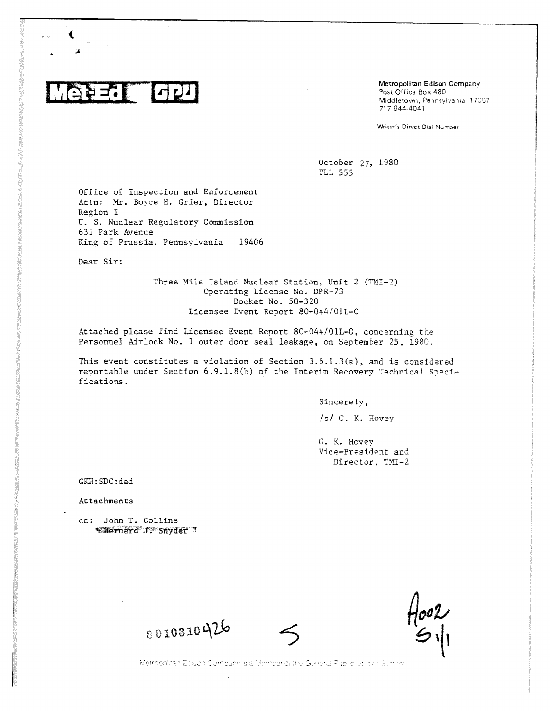

Metropolitan Edison Company Post Office Box 480 Middletown, Pennsylvania 17057 717 944-4041

Writer's Direct Dial Number

October 27, 1980 TLL 555

Office of Inspection and Enforcement Attn: Mr. Boyce H. Grier, Director Region I U. S. Nuclear Regulatory Commission 631 Park Avenue King of Prussia, Pennsylvania 19406

Dear Sir:

Three Mile Island Nuclear Station, Unit 2 (TMI-2) Operating License No. DPR-73 Docket No. 50-320 Licensee Event Report 80-044/01L-0

Attached please find Licensee Event Report 80-044/01L-0, concerning the Personnel Airlock No. 1 outer door seal leakage, on September 25, 1980.

This event constitutes a violation of Section  $3.6.1.3(a)$ , and is considered reportable under Section 6.9.1.8(b) of the Interim Recovery Technical Specifications.

Sincerely,

/s/ G. K. Hovey

G. K. Hovey Vice-President and Director, TMI-2

GKH:SDC:dad

Attachments

cc: John T. Collins \*Bernard J. Snyder 1

 $\frac{1}{51}$ 

8010310426

Metropolitan Edison Company is a Member of the General Public lutinities Sustem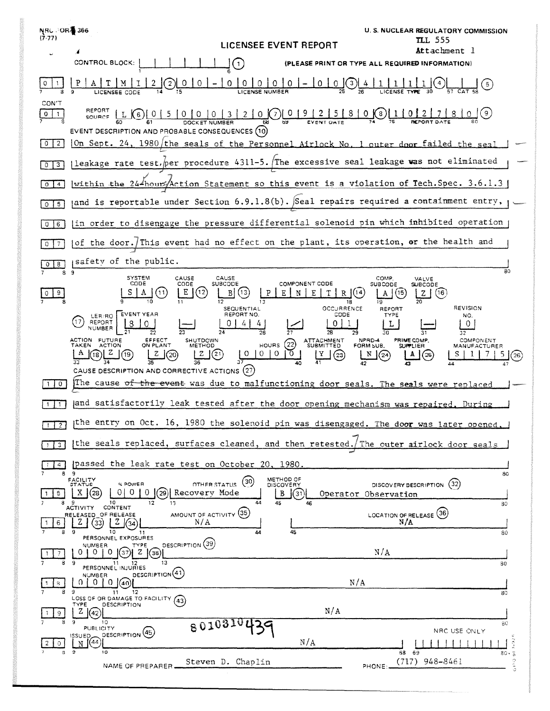| <b>NRC ∂OR \$366</b><br>$(7-77)$ | LICENSEE EVENT REPORT                                                                                                                                                                                                                                                     | U. S. NUCLEAR REGULATORY COMMISSION<br>TLL 555                                                        |
|----------------------------------|---------------------------------------------------------------------------------------------------------------------------------------------------------------------------------------------------------------------------------------------------------------------------|-------------------------------------------------------------------------------------------------------|
|                                  | CONTROL BLOCK:<br>$\mathbf{1}$                                                                                                                                                                                                                                            | Attachment l<br><b>EASE PRINT OR TYPE ALL REQUIRED INFORMATION)</b>                                   |
|                                  | 0<br>LICENSE NUMBER<br>LICENSEE CODE                                                                                                                                                                                                                                      |                                                                                                       |
| CON'T<br>0<br>-1                 | 20000092581<br>SOURCE $\begin{bmatrix} L & 6 \end{bmatrix} \begin{bmatrix} 0 & 5 & 0 & 0 & 0 & 3 \end{bmatrix}$<br>EVENT DESCRIPTION AND PROBABLE CONSEQUENCES (10)                                                                                                       | $0$ (8) 1<br>$\overline{9}$                                                                           |
| $\overline{2}$<br>$\Omega$       | On Sept. 24, 1980/the seals of the Personnel Airlock No. 1 outer door failed the seal                                                                                                                                                                                     |                                                                                                       |
| 3<br>$\circ$                     | leakage rate test, per procedure 4311-5. The excessive seal leakage was not eliminated                                                                                                                                                                                    |                                                                                                       |
| 4<br>$\circ$                     | within the $244$ hour Action Statement so this event is a violation of Tech. Spec. 3.6.1.3                                                                                                                                                                                |                                                                                                       |
| 5<br>0                           | and is reportable under Section 6.9.1.8(b). Seal repairs required a containment entry,                                                                                                                                                                                    |                                                                                                       |
| 6                                | in order to disengage the pressure differential solenoid pin which inhibited operation                                                                                                                                                                                    |                                                                                                       |
|                                  | of the door. This event had no effect on the plant, its operation, or the health and                                                                                                                                                                                      |                                                                                                       |
| 8<br>89                          | safety of the public.                                                                                                                                                                                                                                                     | 80                                                                                                    |
|                                  | CAUSE<br><b>SYSTEM</b><br>CAUSE<br>CODE<br>COMPONENT CODE<br>CODE<br>SUBCODE<br>$\left\lceil \cdot \right\rceil$<br>В<br>Ε<br>[13]<br>Ε<br>$R$ $(14)$<br>Ν<br>18<br>OCCURRENCE<br>SEQUENTIAL                                                                              | COMP<br>VALVE<br><b>SUBCODE</b><br>SUBCODE<br>(15<br>(16<br>z<br>А<br>١Ġ<br>REVISION<br>REPORT        |
|                                  | <b>EVENT YEAR</b><br>REPORT NO.<br>CODE<br>LER/RO<br>REPORT<br>NUMBER                                                                                                                                                                                                     | TYPE<br>NO.                                                                                           |
|                                  | 28<br>ACTION FUTURE<br>EFFECT<br><b>SHUTDOWN</b><br>ATTACHMENT<br>SUBMITTED<br>(22)<br><b>TAKEN</b><br><b>ACTION</b><br>ON PLANT<br>HOURS<br><b>METHOD</b><br>(21)<br>0<br>0<br>0<br>  O<br>(19)<br>(20)<br>(18)<br>(23)<br>CAUSE DESCRIPTION AND CORRECTIVE ACTIONS (27) | NPRD-4<br>PRIME COMP.<br>COMPONENT<br>FORM SUB.<br><b>SUPPLIER</b><br>MANUFACTURER<br>N<br>(24<br>(25 |
| 0                                | The cause o <del>f the event</del> was due to malfunctioning door seals. The seals were replaced                                                                                                                                                                          |                                                                                                       |
|                                  | and satisfactorily leak tested after the door opening mechanism was repaired. During                                                                                                                                                                                      |                                                                                                       |
| $\overline{2}$                   | the entry on Oct. 16, 1980 the solenoid pin was disengaged. The door was later opened,                                                                                                                                                                                    |                                                                                                       |
| 3                                | the seals replaced, surfaces cleaned, and then retested. The outer airlock door seals                                                                                                                                                                                     |                                                                                                       |
|                                  | passed the leak rate test on October 20, 1980.<br>89                                                                                                                                                                                                                      | 80                                                                                                    |
| 5.                               | METHOD OF<br>FACILITY<br>STATUS<br>(30)<br>% POWER<br>OTHER STATUS<br>DISCOVERY<br>010<br>$X$ $(28)$<br>(29) Recovery Mode<br>$\mathbf{0}$<br>B<br> (31) <br>10<br>45<br>13<br>44                                                                                         | DISCOVERY DESCRIPTION (32)<br>Operator Observation<br>80                                              |
| 6<br>8                           | CONTENT<br><b>ACTIVITY</b><br>AMOUNT OF ACTIVITY (35)<br>RELEASED OF RELEASE<br>N/A<br>z<br>(33)<br>Z.<br>45<br>9<br>10<br>44<br>11                                                                                                                                       | LOCATION OF RELEASE (36)<br>N/A<br>80                                                                 |
| 8                                | PERSONNEL EXPOSURES<br>DESCRIPTION (39)<br>TYPE<br>NUMBER.<br>$^{\circ}$<br>$\theta$<br>Z(38)<br>- 9<br>$11 -$<br>13<br>12                                                                                                                                                | N/A<br>30                                                                                             |
| 8.                               | PERSONNEL INJURIES<br>DESCRIPTION <sup>(41)</sup><br>NUMBER<br>$\Omega$<br>$^{\circ}$<br>140<br>-9<br>11<br>-12                                                                                                                                                           | N/A<br>80                                                                                             |
| 9.                               | LOSS OF OR DAMAGE TO FACILITY (43)<br><b>DESCRIPTION</b><br>TYPE<br>N/A<br>Z   (42)                                                                                                                                                                                       |                                                                                                       |
| O.                               | 9<br>10<br>801031<br>PUBLICITY<br>DESCRIPTION <sup>(45)</sup><br><b>ISSUED</b><br>N/A<br>44)<br>N                                                                                                                                                                         | 80<br>NRC USE ONLY<br>$\frac{1}{80}$ , $\frac{3}{5}$                                                  |
| 8.                               | ಿ<br>10<br>Steven D. Chaplin<br>NAME OF PREPARER                                                                                                                                                                                                                          | 68 69<br>$\frac{6}{9}$ t) o<br>$(717)$ 948-8461<br>PHONE:                                             |